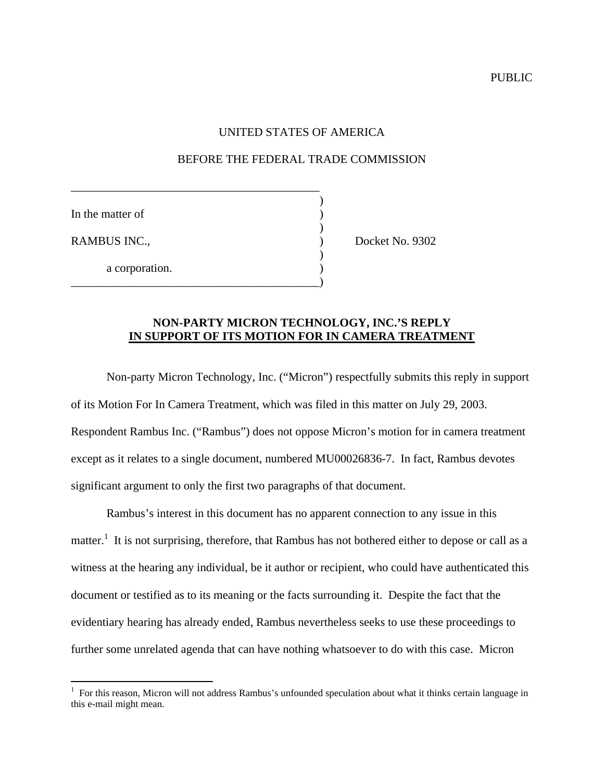PUBLIC

## UNITED STATES OF AMERICA

## BEFORE THE FEDERAL TRADE COMMISSION

)

)

)

In the matter of

1

a corporation.

\_\_\_\_\_\_\_\_\_\_\_\_\_\_\_\_\_\_\_\_\_\_\_\_\_\_\_\_\_\_\_\_\_\_\_\_\_\_\_\_\_\_

\_\_\_\_\_\_\_\_\_\_\_\_\_\_\_\_\_\_\_\_\_\_\_\_\_\_\_\_\_\_\_\_\_\_\_\_\_\_\_\_\_\_)

RAMBUS INC., Docket No. 9302

## **NON-PARTY MICRON TECHNOLOGY, INC.'S REPLY IN SUPPORT OF ITS MOTION FOR IN CAMERA TREATMENT**

Non-party Micron Technology, Inc. ("Micron") respectfully submits this reply in support of its Motion For In Camera Treatment, which was filed in this matter on July 29, 2003. Respondent Rambus Inc. ("Rambus") does not oppose Micron's motion for in camera treatment except as it relates to a single document, numbered MU00026836-7. In fact, Rambus devotes significant argument to only the first two paragraphs of that document.

Rambus's interest in this document has no apparent connection to any issue in this matter.<sup>1</sup> It is not surprising, therefore, that Rambus has not bothered either to depose or call as a witness at the hearing any individual, be it author or recipient, who could have authenticated this document or testified as to its meaning or the facts surrounding it. Despite the fact that the evidentiary hearing has already ended, Rambus nevertheless seeks to use these proceedings to further some unrelated agenda that can have nothing whatsoever to do with this case. Micron

 $1$  For this reason, Micron will not address Rambus's unfounded speculation about what it thinks certain language in this e-mail might mean.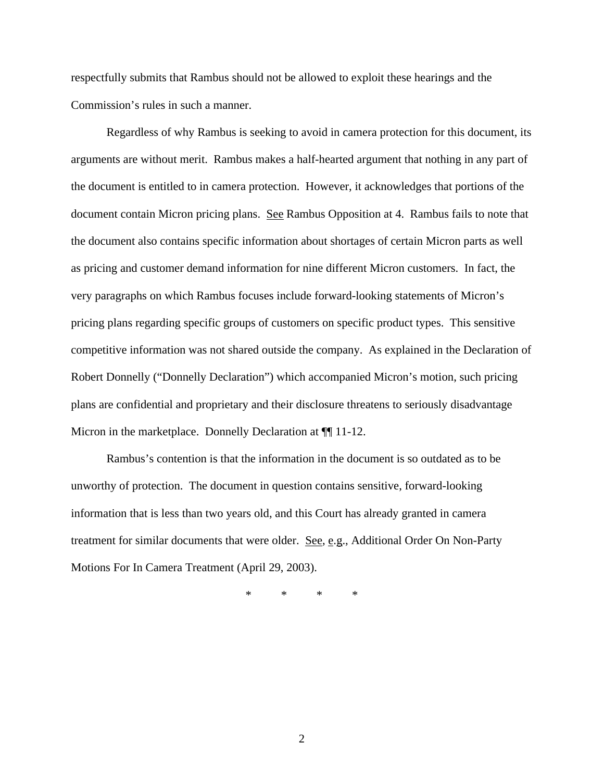respectfully submits that Rambus should not be allowed to exploit these hearings and the Commission's rules in such a manner.

Regardless of why Rambus is seeking to avoid in camera protection for this document, its arguments are without merit. Rambus makes a half-hearted argument that nothing in any part of the document is entitled to in camera protection. However, it acknowledges that portions of the document contain Micron pricing plans. See Rambus Opposition at 4. Rambus fails to note that the document also contains specific information about shortages of certain Micron parts as well as pricing and customer demand information for nine different Micron customers. In fact, the very paragraphs on which Rambus focuses include forward-looking statements of Micron's pricing plans regarding specific groups of customers on specific product types. This sensitive competitive information was not shared outside the company. As explained in the Declaration of Robert Donnelly ("Donnelly Declaration") which accompanied Micron's motion, such pricing plans are confidential and proprietary and their disclosure threatens to seriously disadvantage Micron in the marketplace. Donnelly Declaration at  $\P$  11-12.

Rambus's contention is that the information in the document is so outdated as to be unworthy of protection. The document in question contains sensitive, forward-looking information that is less than two years old, and this Court has already granted in camera treatment for similar documents that were older. See, e.g., Additional Order On Non-Party Motions For In Camera Treatment (April 29, 2003).

\* \* \* \*